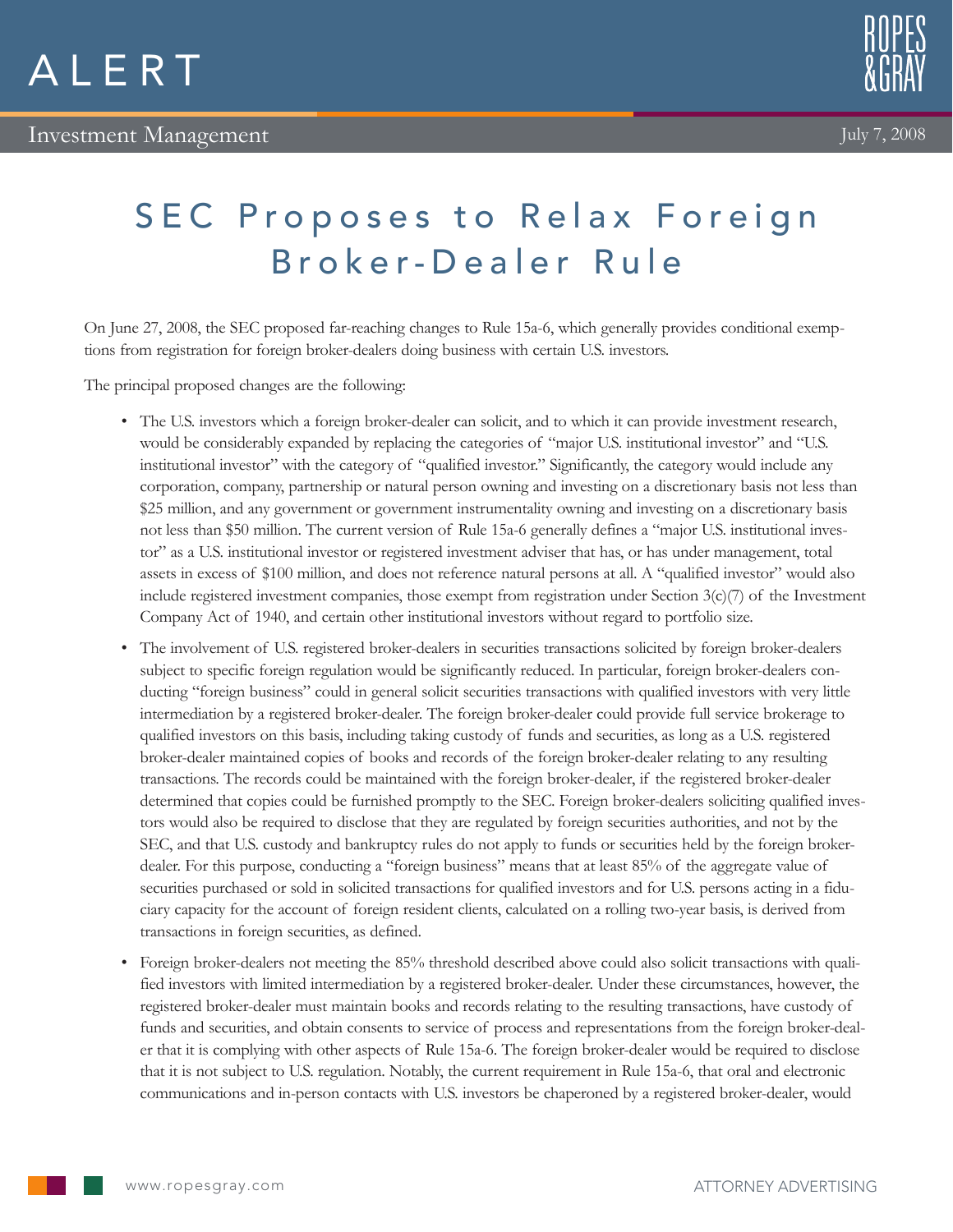



## SEC Proposes to Relax Foreign Broker-Dealer Rule

On June 27, 2008, the SEC proposed far-reaching changes to Rule 15a-6, which generally provides conditional exemptions from registration for foreign broker-dealers doing business with certain U.S. investors.

The principal proposed changes are the following:

- • The U.S. investors which a foreign broker-dealer can solicit, and to which it can provide investment research, would be considerably expanded by replacing the categories of "major U.S. institutional investor" and "U.S. institutional investor" with the category of "qualified investor." Significantly, the category would include any corporation, company, partnership or natural person owning and investing on a discretionary basis not less than \$25 million, and any government or government instrumentality owning and investing on a discretionary basis not less than \$50 million. The current version of Rule 15a-6 generally defines a "major U.S. institutional investor" as a U.S. institutional investor or registered investment adviser that has, or has under management, total assets in excess of \$100 million, and does not reference natural persons at all. A "qualified investor" would also include registered investment companies, those exempt from registration under Section  $3(c)/7$  of the Investment Company Act of 1940, and certain other institutional investors without regard to portfolio size.
- • The involvement of U.S. registered broker-dealers in securities transactions solicited by foreign broker-dealers subject to specific foreign regulation would be significantly reduced. In particular, foreign broker-dealers conducting "foreign business" could in general solicit securities transactions with qualified investors with very little intermediation by a registered broker-dealer. The foreign broker-dealer could provide full service brokerage to qualified investors on this basis, including taking custody of funds and securities, as long as a U.S. registered broker-dealer maintained copies of books and records of the foreign broker-dealer relating to any resulting transactions. The records could be maintained with the foreign broker-dealer, if the registered broker-dealer determined that copies could be furnished promptly to the SEC. Foreign broker-dealers soliciting qualified investors would also be required to disclose that they are regulated by foreign securities authorities, and not by the SEC, and that U.S. custody and bankruptcy rules do not apply to funds or securities held by the foreign brokerdealer. For this purpose, conducting a "foreign business" means that at least 85% of the aggregate value of securities purchased or sold in solicited transactions for qualified investors and for U.S. persons acting in a fiduciary capacity for the account of foreign resident clients, calculated on a rolling two-year basis, is derived from transactions in foreign securities, as defined.
- • Foreign broker-dealers not meeting the 85% threshold described above could also solicit transactions with qualified investors with limited intermediation by a registered broker-dealer. Under these circumstances, however, the registered broker-dealer must maintain books and records relating to the resulting transactions, have custody of funds and securities, and obtain consents to service of process and representations from the foreign broker-dealer that it is complying with other aspects of Rule 15a-6. The foreign broker-dealer would be required to disclose that it is not subject to U.S. regulation. Notably, the current requirement in Rule 15a-6, that oral and electronic communications and in-person contacts with U.S. investors be chaperoned by a registered broker-dealer, would